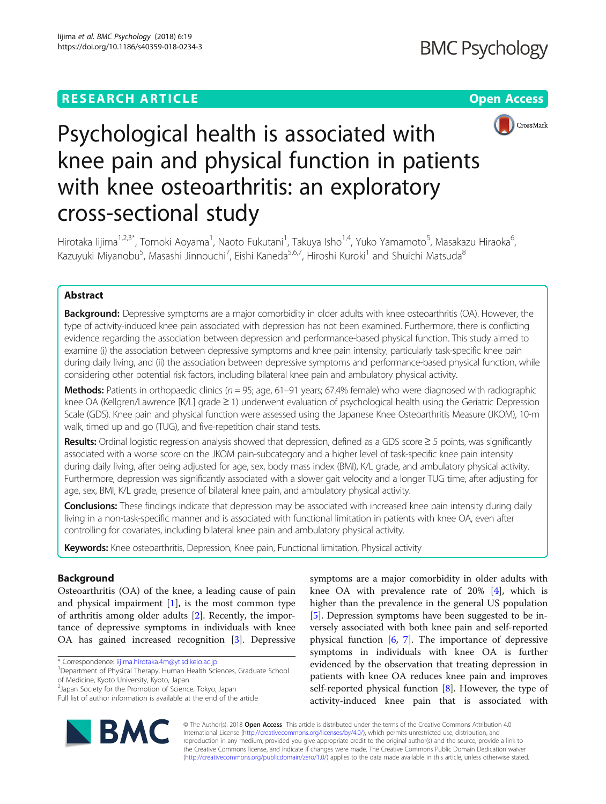# **RESEARCH ARTICLE Example 2014 12:30 The Contract of Contract ACCESS**



# Psychological health is associated with knee pain and physical function in patients with knee osteoarthritis: an exploratory cross-sectional study

Hirotaka lijima<sup>1,2,3\*</sup>, Tomoki Aoyama<sup>1</sup>, Naoto Fukutani<sup>1</sup>, Takuya Isho<sup>1,4</sup>, Yuko Yamamoto<sup>5</sup>, Masakazu Hiraoka<sup>6</sup> , Kazuyuki Miyanobu<sup>5</sup>, Masashi Jinnouchi<sup>7</sup>, Eishi Kaneda<sup>5,6,7</sup>, Hiroshi Kuroki<sup>1</sup> and Shuichi Matsuda<sup>8</sup>

# Abstract

Background: Depressive symptoms are a major comorbidity in older adults with knee osteoarthritis (OA). However, the type of activity-induced knee pain associated with depression has not been examined. Furthermore, there is conflicting evidence regarding the association between depression and performance-based physical function. This study aimed to examine (i) the association between depressive symptoms and knee pain intensity, particularly task-specific knee pain during daily living, and (ii) the association between depressive symptoms and performance-based physical function, while considering other potential risk factors, including bilateral knee pain and ambulatory physical activity.

Methods: Patients in orthopaedic clinics ( $n = 95$ ; age, 61–91 years; 67.4% female) who were diagnosed with radiographic knee OA (Kellgren/Lawrence [K/L] grade ≥ 1) underwent evaluation of psychological health using the Geriatric Depression Scale (GDS). Knee pain and physical function were assessed using the Japanese Knee Osteoarthritis Measure (JKOM), 10-m walk, timed up and go (TUG), and five-repetition chair stand tests.

Results: Ordinal logistic regression analysis showed that depression, defined as a GDS score  $\geq$  5 points, was significantly associated with a worse score on the JKOM pain-subcategory and a higher level of task-specific knee pain intensity during daily living, after being adjusted for age, sex, body mass index (BMI), K/L grade, and ambulatory physical activity. Furthermore, depression was significantly associated with a slower gait velocity and a longer TUG time, after adjusting for age, sex, BMI, K/L grade, presence of bilateral knee pain, and ambulatory physical activity.

Conclusions: These findings indicate that depression may be associated with increased knee pain intensity during daily living in a non-task-specific manner and is associated with functional limitation in patients with knee OA, even after controlling for covariates, including bilateral knee pain and ambulatory physical activity.

Keywords: Knee osteoarthritis, Depression, Knee pain, Functional limitation, Physical activity

# Background

Osteoarthritis (OA) of the knee, a leading cause of pain and physical impairment [\[1](#page-7-0)], is the most common type of arthritis among older adults [[2](#page-7-0)]. Recently, the importance of depressive symptoms in individuals with knee OA has gained increased recognition [\[3](#page-7-0)]. Depressive

\* Correspondence: [iijima.hirotaka.4m@yt.sd.keio.ac.jp](mailto:iijima.hirotaka.4m@yt.sd.keio.ac.jp) <sup>1</sup>

2 Japan Society for the Promotion of Science, Tokyo, Japan

Full list of author information is available at the end of the article



© The Author(s). 2018 Open Access This article is distributed under the terms of the Creative Commons Attribution 4.0 International License [\(http://creativecommons.org/licenses/by/4.0/](http://creativecommons.org/licenses/by/4.0/)), which permits unrestricted use, distribution, and reproduction in any medium, provided you give appropriate credit to the original author(s) and the source, provide a link to the Creative Commons license, and indicate if changes were made. The Creative Commons Public Domain Dedication waiver [\(http://creativecommons.org/publicdomain/zero/1.0/](http://creativecommons.org/publicdomain/zero/1.0/)) applies to the data made available in this article, unless otherwise stated.



<sup>&</sup>lt;sup>1</sup>Department of Physical Therapy, Human Health Sciences, Graduate School of Medicine, Kyoto University, Kyoto, Japan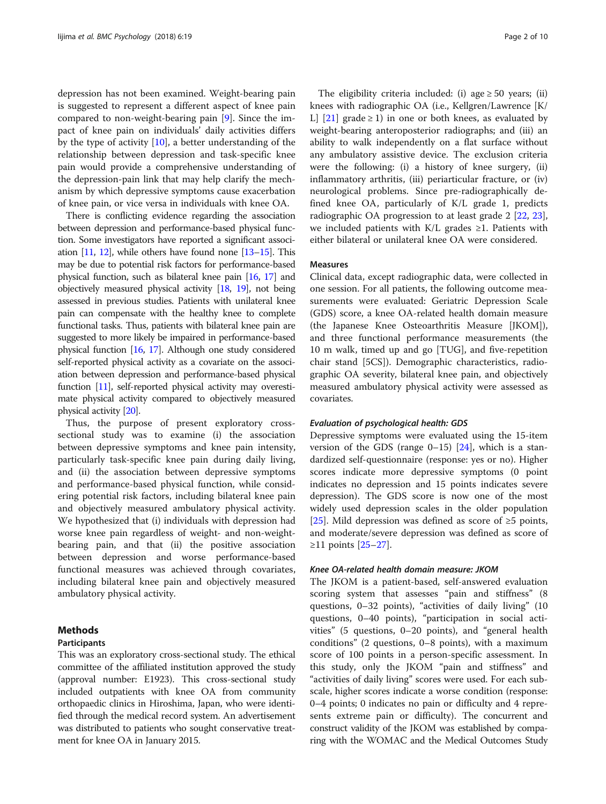depression has not been examined. Weight-bearing pain is suggested to represent a different aspect of knee pain compared to non-weight-bearing pain [[9\]](#page-8-0). Since the impact of knee pain on individuals' daily activities differs by the type of activity [\[10\]](#page-8-0), a better understanding of the relationship between depression and task-specific knee pain would provide a comprehensive understanding of the depression-pain link that may help clarify the mechanism by which depressive symptoms cause exacerbation of knee pain, or vice versa in individuals with knee OA.

There is conflicting evidence regarding the association between depression and performance-based physical function. Some investigators have reported a significant association [[11](#page-8-0), [12\]](#page-8-0), while others have found none [\[13](#page-8-0)–[15\]](#page-8-0). This may be due to potential risk factors for performance-based physical function, such as bilateral knee pain [\[16,](#page-8-0) [17](#page-8-0)] and objectively measured physical activity [\[18,](#page-8-0) [19\]](#page-8-0), not being assessed in previous studies. Patients with unilateral knee pain can compensate with the healthy knee to complete functional tasks. Thus, patients with bilateral knee pain are suggested to more likely be impaired in performance-based physical function [\[16,](#page-8-0) [17\]](#page-8-0). Although one study considered self-reported physical activity as a covariate on the association between depression and performance-based physical function [[11](#page-8-0)], self-reported physical activity may overestimate physical activity compared to objectively measured physical activity [[20](#page-8-0)].

Thus, the purpose of present exploratory crosssectional study was to examine (i) the association between depressive symptoms and knee pain intensity, particularly task-specific knee pain during daily living, and (ii) the association between depressive symptoms and performance-based physical function, while considering potential risk factors, including bilateral knee pain and objectively measured ambulatory physical activity. We hypothesized that (i) individuals with depression had worse knee pain regardless of weight- and non-weightbearing pain, and that (ii) the positive association between depression and worse performance-based functional measures was achieved through covariates, including bilateral knee pain and objectively measured ambulatory physical activity.

# Methods

# Participants

This was an exploratory cross-sectional study. The ethical committee of the affiliated institution approved the study (approval number: E1923). This cross-sectional study included outpatients with knee OA from community orthopaedic clinics in Hiroshima, Japan, who were identified through the medical record system. An advertisement was distributed to patients who sought conservative treatment for knee OA in January 2015.

The eligibility criteria included: (i) age  $\geq 50$  years; (ii) knees with radiographic OA (i.e., Kellgren/Lawrence [K/ L]  $[21]$  $[21]$  grade  $\geq 1$ ) in one or both knees, as evaluated by weight-bearing anteroposterior radiographs; and (iii) an ability to walk independently on a flat surface without any ambulatory assistive device. The exclusion criteria were the following: (i) a history of knee surgery, (ii) inflammatory arthritis, (iii) periarticular fracture, or (iv) neurological problems. Since pre-radiographically defined knee OA, particularly of K/L grade 1, predicts radiographic OA progression to at least grade 2 [\[22](#page-8-0), [23](#page-8-0)], we included patients with K/L grades ≥1. Patients with either bilateral or unilateral knee OA were considered.

# Measures

Clinical data, except radiographic data, were collected in one session. For all patients, the following outcome measurements were evaluated: Geriatric Depression Scale (GDS) score, a knee OA-related health domain measure (the Japanese Knee Osteoarthritis Measure [JKOM]), and three functional performance measurements (the 10 m walk, timed up and go [TUG], and five-repetition chair stand [5CS]). Demographic characteristics, radiographic OA severity, bilateral knee pain, and objectively measured ambulatory physical activity were assessed as covariates.

# Evaluation of psychological health: GDS

Depressive symptoms were evaluated using the 15-item version of the GDS (range  $0-15$ ) [[24](#page-8-0)], which is a standardized self-questionnaire (response: yes or no). Higher scores indicate more depressive symptoms (0 point indicates no depression and 15 points indicates severe depression). The GDS score is now one of the most widely used depression scales in the older population [[25\]](#page-8-0). Mild depression was defined as score of ≥5 points, and moderate/severe depression was defined as score of ≥11 points [\[25](#page-8-0)–[27\]](#page-8-0).

# Knee OA-related health domain measure: JKOM

The JKOM is a patient-based, self-answered evaluation scoring system that assesses "pain and stiffness" (8 questions, 0–32 points), "activities of daily living" (10 questions, 0–40 points), "participation in social activities" (5 questions, 0–20 points), and "general health conditions" (2 questions, 0–8 points), with a maximum score of 100 points in a person-specific assessment. In this study, only the JKOM "pain and stiffness" and "activities of daily living" scores were used. For each subscale, higher scores indicate a worse condition (response: 0–4 points; 0 indicates no pain or difficulty and 4 represents extreme pain or difficulty). The concurrent and construct validity of the JKOM was established by comparing with the WOMAC and the Medical Outcomes Study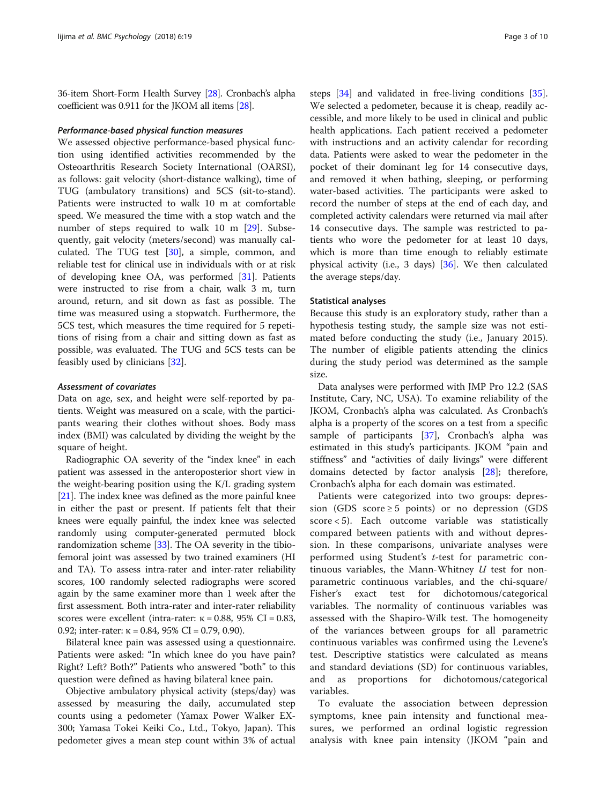36-item Short-Form Health Survey [\[28\]](#page-8-0). Cronbach's alpha coefficient was 0.911 for the JKOM all items [\[28\]](#page-8-0).

# Performance-based physical function measures

We assessed objective performance-based physical function using identified activities recommended by the Osteoarthritis Research Society International (OARSI), as follows: gait velocity (short-distance walking), time of TUG (ambulatory transitions) and 5CS (sit-to-stand). Patients were instructed to walk 10 m at comfortable speed. We measured the time with a stop watch and the number of steps required to walk 10 m [[29\]](#page-8-0). Subsequently, gait velocity (meters/second) was manually calculated. The TUG test [[30](#page-8-0)], a simple, common, and reliable test for clinical use in individuals with or at risk of developing knee OA, was performed [[31](#page-8-0)]. Patients were instructed to rise from a chair, walk 3 m, turn around, return, and sit down as fast as possible. The time was measured using a stopwatch. Furthermore, the 5CS test, which measures the time required for 5 repetitions of rising from a chair and sitting down as fast as possible, was evaluated. The TUG and 5CS tests can be feasibly used by clinicians [\[32\]](#page-8-0).

# Assessment of covariates

Data on age, sex, and height were self-reported by patients. Weight was measured on a scale, with the participants wearing their clothes without shoes. Body mass index (BMI) was calculated by dividing the weight by the square of height.

Radiographic OA severity of the "index knee" in each patient was assessed in the anteroposterior short view in the weight-bearing position using the K/L grading system [[21](#page-8-0)]. The index knee was defined as the more painful knee in either the past or present. If patients felt that their knees were equally painful, the index knee was selected randomly using computer-generated permuted block randomization scheme [\[33](#page-8-0)]. The OA severity in the tibiofemoral joint was assessed by two trained examiners (HI and TA). To assess intra-rater and inter-rater reliability scores, 100 randomly selected radiographs were scored again by the same examiner more than 1 week after the first assessment. Both intra-rater and inter-rater reliability scores were excellent (intra-rater:  $\kappa = 0.88$ , 95% CI = 0.83, 0.92; inter-rater:  $κ = 0.84$ , 95% CI = 0.79, 0.90).

Bilateral knee pain was assessed using a questionnaire. Patients were asked: "In which knee do you have pain? Right? Left? Both?" Patients who answered "both" to this question were defined as having bilateral knee pain.

Objective ambulatory physical activity (steps/day) was assessed by measuring the daily, accumulated step counts using a pedometer (Yamax Power Walker EX-300; Yamasa Tokei Keiki Co., Ltd., Tokyo, Japan). This pedometer gives a mean step count within 3% of actual

steps [\[34](#page-8-0)] and validated in free-living conditions [\[35](#page-8-0)]. We selected a pedometer, because it is cheap, readily accessible, and more likely to be used in clinical and public health applications. Each patient received a pedometer with instructions and an activity calendar for recording data. Patients were asked to wear the pedometer in the pocket of their dominant leg for 14 consecutive days, and removed it when bathing, sleeping, or performing water-based activities. The participants were asked to record the number of steps at the end of each day, and completed activity calendars were returned via mail after 14 consecutive days. The sample was restricted to patients who wore the pedometer for at least 10 days, which is more than time enough to reliably estimate physical activity (i.e., 3 days) [[36\]](#page-8-0). We then calculated the average steps/day.

# Statistical analyses

Because this study is an exploratory study, rather than a hypothesis testing study, the sample size was not estimated before conducting the study (i.e., January 2015). The number of eligible patients attending the clinics during the study period was determined as the sample size.

Data analyses were performed with JMP Pro 12.2 (SAS Institute, Cary, NC, USA). To examine reliability of the JKOM, Cronbach's alpha was calculated. As Cronbach's alpha is a property of the scores on a test from a specific sample of participants [[37\]](#page-8-0), Cronbach's alpha was estimated in this study's participants. JKOM "pain and stiffness" and "activities of daily livings" were different domains detected by factor analysis [\[28\]](#page-8-0); therefore, Cronbach's alpha for each domain was estimated.

Patients were categorized into two groups: depression (GDS score  $\geq 5$  points) or no depression (GDS score < 5). Each outcome variable was statistically compared between patients with and without depression. In these comparisons, univariate analyses were performed using Student's t-test for parametric continuous variables, the Mann-Whitney  $U$  test for nonparametric continuous variables, and the chi-square/ Fisher's exact test for dichotomous/categorical variables. The normality of continuous variables was assessed with the Shapiro-Wilk test. The homogeneity of the variances between groups for all parametric continuous variables was confirmed using the Levene's test. Descriptive statistics were calculated as means and standard deviations (SD) for continuous variables, and as proportions for dichotomous/categorical variables.

To evaluate the association between depression symptoms, knee pain intensity and functional measures, we performed an ordinal logistic regression analysis with knee pain intensity (JKOM "pain and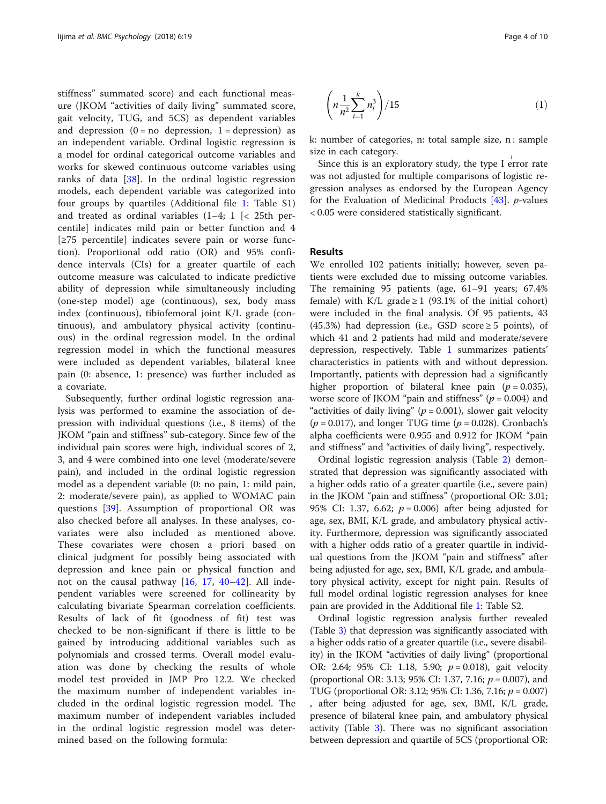stiffness" summated score) and each functional measure (JKOM "activities of daily living" summated score, gait velocity, TUG, and 5CS) as dependent variables and depression  $(0 = no$  depression,  $1 =$  depression) as an independent variable. Ordinal logistic regression is a model for ordinal categorical outcome variables and works for skewed continuous outcome variables using ranks of data [[38\]](#page-8-0). In the ordinal logistic regression models, each dependent variable was categorized into four groups by quartiles (Additional file [1:](#page-7-0) Table S1) and treated as ordinal variables  $(1-4; 1 \le 25$ th percentile] indicates mild pain or better function and 4 [≥75 percentile] indicates severe pain or worse function). Proportional odd ratio (OR) and 95% confidence intervals (CIs) for a greater quartile of each outcome measure was calculated to indicate predictive ability of depression while simultaneously including (one-step model) age (continuous), sex, body mass index (continuous), tibiofemoral joint K/L grade (continuous), and ambulatory physical activity (continuous) in the ordinal regression model. In the ordinal regression model in which the functional measures were included as dependent variables, bilateral knee pain (0: absence, 1: presence) was further included as a covariate.

Subsequently, further ordinal logistic regression analysis was performed to examine the association of depression with individual questions (i.e., 8 items) of the JKOM "pain and stiffness" sub-category. Since few of the individual pain scores were high, individual scores of 2, 3, and 4 were combined into one level (moderate/severe pain), and included in the ordinal logistic regression model as a dependent variable (0: no pain, 1: mild pain, 2: moderate/severe pain), as applied to WOMAC pain questions [\[39\]](#page-8-0). Assumption of proportional OR was also checked before all analyses. In these analyses, covariates were also included as mentioned above. These covariates were chosen a priori based on clinical judgment for possibly being associated with depression and knee pain or physical function and not on the causal pathway [[16,](#page-8-0) [17,](#page-8-0) [40](#page-8-0)–[42\]](#page-8-0). All independent variables were screened for collinearity by calculating bivariate Spearman correlation coefficients. Results of lack of fit (goodness of fit) test was checked to be non-significant if there is little to be gained by introducing additional variables such as polynomials and crossed terms. Overall model evaluation was done by checking the results of whole model test provided in JMP Pro 12.2. We checked the maximum number of independent variables included in the ordinal logistic regression model. The maximum number of independent variables included in the ordinal logistic regression model was determined based on the following formula:

$$
\left(n\frac{1}{n^2}\sum_{i=1}^k n_i^3\right)/15\tag{1}
$$

k: number of categories, n: total sample size, n : sample size in each category.

Since this is an exploratory study, the type I error rate was not adjusted for multiple comparisons of logistic regression analyses as endorsed by the European Agency for the Evaluation of Medicinal Products [[43](#page-8-0)]. p-values < 0.05 were considered statistically significant.

# Results

We enrolled 102 patients initially; however, seven patients were excluded due to missing outcome variables. The remaining 95 patients (age, 61–91 years; 67.4% female) with K/L grade  $\geq 1$  (93.1% of the initial cohort) were included in the final analysis. Of 95 patients, 43 (45.3%) had depression (i.e., GSD score  $\geq$  5 points), of which 41 and 2 patients had mild and moderate/severe depression, respectively. Table [1](#page-4-0) summarizes patients' characteristics in patients with and without depression. Importantly, patients with depression had a significantly higher proportion of bilateral knee pain ( $p = 0.035$ ), worse score of JKOM "pain and stiffness" ( $p = 0.004$ ) and "activities of daily living" ( $p = 0.001$ ), slower gait velocity  $(p = 0.017)$ , and longer TUG time  $(p = 0.028)$ . Cronbach's alpha coefficients were 0.955 and 0.912 for JKOM "pain and stiffness" and "activities of daily living", respectively.

Ordinal logistic regression analysis (Table [2\)](#page-5-0) demonstrated that depression was significantly associated with a higher odds ratio of a greater quartile (i.e., severe pain) in the JKOM "pain and stiffness" (proportional OR: 3.01; 95% CI: 1.37, 6.62;  $p = 0.006$ ) after being adjusted for age, sex, BMI, K/L grade, and ambulatory physical activity. Furthermore, depression was significantly associated with a higher odds ratio of a greater quartile in individual questions from the JKOM "pain and stiffness" after being adjusted for age, sex, BMI, K/L grade, and ambulatory physical activity, except for night pain. Results of full model ordinal logistic regression analyses for knee pain are provided in the Additional file [1:](#page-7-0) Table S2.

Ordinal logistic regression analysis further revealed (Table [3\)](#page-6-0) that depression was significantly associated with a higher odds ratio of a greater quartile (i.e., severe disability) in the JKOM "activities of daily living" (proportional OR: 2.64; 95% CI: 1.18, 5.90;  $p = 0.018$ ), gait velocity (proportional OR: 3.13; 95% CI: 1.37, 7.16;  $p = 0.007$ ), and TUG (proportional OR: 3.12; 95% CI: 1.36, 7.16; p = 0.007) , after being adjusted for age, sex, BMI, K/L grade, presence of bilateral knee pain, and ambulatory physical activity (Table [3](#page-6-0)). There was no significant association between depression and quartile of 5CS (proportional OR: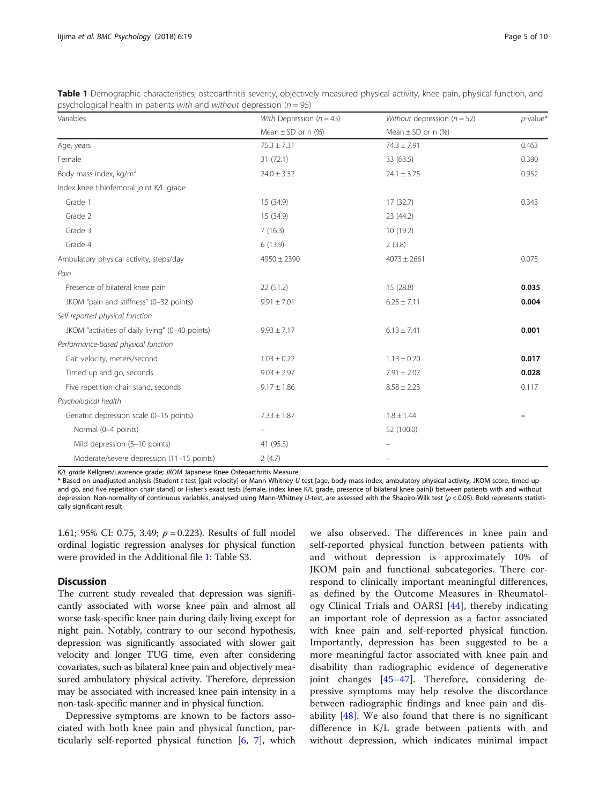<span id="page-4-0"></span>

| Table 1 Demographic characteristics, osteoarthritis severity, objectively measured physical activity, knee pain, physical function, and |  |  |  |
|-----------------------------------------------------------------------------------------------------------------------------------------|--|--|--|
| psychological health in patients with and without depression ( $n = 95$ )                                                               |  |  |  |

| Variables                                       | With Depression $(n = 43)$ | Without depression $(n = 52)$ | $p$ -value* |  |
|-------------------------------------------------|----------------------------|-------------------------------|-------------|--|
|                                                 | Mean $\pm$ SD or n (%)     | Mean $\pm$ SD or n (%)        |             |  |
| Age, years                                      | $75.3 \pm 7.31$            | $74.3 \pm 7.91$               | 0.463       |  |
| Female                                          | 31(72.1)                   | 33 (63.5)                     | 0.390       |  |
| Body mass index, kg/m <sup>2</sup>              | $24.0 \pm 3.32$            | $24.1 \pm 3.75$               | 0.952       |  |
| Index knee tibiofemoral joint K/L grade         |                            |                               |             |  |
| Grade 1                                         | 15 (34.9)                  | 17(32.7)                      | 0.343       |  |
| Grade 2                                         | 15 (34.9)                  | 23 (44.2)                     |             |  |
| Grade 3                                         | 7(16.3)                    | 10(19.2)                      |             |  |
| Grade 4                                         | 6(13.9)                    | 2(3.8)                        |             |  |
| Ambulatory physical activity, steps/day         | $4950 \pm 2390$            | $4073 \pm 2661$               | 0.075       |  |
| Pain                                            |                            |                               |             |  |
| Presence of bilateral knee pain                 | 22(51.2)                   | 15(28.8)                      | 0.035       |  |
| JKOM "pain and stiffness" (0-32 points)         | $9.91 \pm 7.01$            | $6.25 \pm 7.11$               | 0.004       |  |
| Self-reported physical function                 |                            |                               |             |  |
| JKOM "activities of daily living" (0-40 points) | $9.93 \pm 7.17$            | $6.13 \pm 7.41$               | 0.001       |  |
| Performance-based physical function             |                            |                               |             |  |
| Gait velocity, meters/second                    | $1.03 \pm 0.22$            | $1.13 \pm 0.20$               | 0.017       |  |
| Timed up and go, seconds                        | $9.03 \pm 2.97$            | $7.91 \pm 2.07$               | 0.028       |  |
| Five repetition chair stand, seconds            | $9.17 \pm 1.86$            | $8.58 \pm 2.23$               | 0.117       |  |
| Psychological health                            |                            |                               |             |  |
| Geriatric depression scale (0-15 points)        | $7.33 \pm 1.87$            | $1.8 \pm 1.44$                |             |  |
| Normal (0-4 points)                             |                            | 52 (100.0)                    |             |  |
| Mild depression (5-10 points)                   | 41 (95.3)                  |                               |             |  |
| Moderate/severe depression (11-15 points)       | 2(4.7)                     |                               |             |  |

K/L grade Kellgren/Lawrence grade; JKOM Japanese Knee Osteoarthritis Measure

\* Based on unadjusted analysis (Student t-test [gait velocity] or Mann-Whitney U-test [age, body mass index, ambulatory physical activity, JKOM score, timed up and go, and five repetition chair stand] or Fisher's exact tests [female, index knee K/L grade, presence of bilateral knee pain]) between patients with and without depression. Non-normality of continuous variables, analysed using Mann-Whitney U-test, are assessed with the Shapiro-Wilk test (p < 0.05). Bold represents statistically significant result

1.61; 95% CI: 0.75, 3.49;  $p = 0.223$ ). Results of full model ordinal logistic regression analyses for physical function were provided in the Additional file [1](#page-7-0): Table S3.

# **Discussion**

The current study revealed that depression was significantly associated with worse knee pain and almost all worse task-specific knee pain during daily living except for night pain. Notably, contrary to our second hypothesis, depression was significantly associated with slower gait velocity and longer TUG time, even after considering covariates, such as bilateral knee pain and objectively measured ambulatory physical activity. Therefore, depression may be associated with increased knee pain intensity in a non-task-specific manner and in physical function.

Depressive symptoms are known to be factors associated with both knee pain and physical function, particularly self-reported physical function [\[6](#page-7-0), [7\]](#page-7-0), which

we also observed. The differences in knee pain and self-reported physical function between patients with and without depression is approximately 10% of JKOM pain and functional subcategories. There correspond to clinically important meaningful differences, as defined by the Outcome Measures in Rheumatology Clinical Trials and OARSI [[44\]](#page-8-0), thereby indicating an important role of depression as a factor associated with knee pain and self-reported physical function. Importantly, depression has been suggested to be a more meaningful factor associated with knee pain and disability than radiographic evidence of degenerative joint changes [[45](#page-8-0)–[47\]](#page-8-0). Therefore, considering depressive symptoms may help resolve the discordance between radiographic findings and knee pain and disability [\[48](#page-8-0)]. We also found that there is no significant difference in K/L grade between patients with and without depression, which indicates minimal impact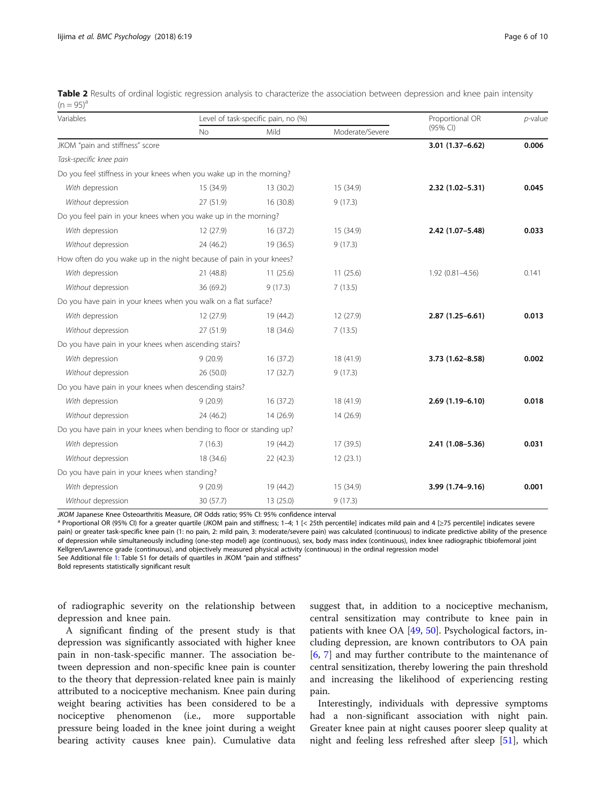<span id="page-5-0"></span>

| Table 2 Results of ordinal logistic regression analysis to characterize the association between depression and knee pain intensity |  |  |  |  |  |
|------------------------------------------------------------------------------------------------------------------------------------|--|--|--|--|--|
| $(n = 95)^d$                                                                                                                       |  |  |  |  |  |

| Variables                                                            |           | Level of task-specific pain, no (%) | Proportional OR | $p$ -value          |       |  |
|----------------------------------------------------------------------|-----------|-------------------------------------|-----------------|---------------------|-------|--|
|                                                                      | <b>No</b> | Mild<br>Moderate/Severe             |                 | (95% CI)            |       |  |
| JKOM "pain and stiffness" score                                      |           |                                     |                 | 3.01 (1.37-6.62)    | 0.006 |  |
| Task-specific knee pain                                              |           |                                     |                 |                     |       |  |
| Do you feel stiffness in your knees when you wake up in the morning? |           |                                     |                 |                     |       |  |
| With depression                                                      | 15 (34.9) | 13 (30.2)                           | 15 (34.9)       | 2.32 (1.02-5.31)    | 0.045 |  |
| Without depression                                                   | 27 (51.9) | 16 (30.8)                           | 9(17.3)         |                     |       |  |
| Do you feel pain in your knees when you wake up in the morning?      |           |                                     |                 |                     |       |  |
| With depression                                                      | 12(27.9)  | 16(37.2)                            | 15 (34.9)       | 2.42 (1.07-5.48)    | 0.033 |  |
| Without depression                                                   | 24 (46.2) | 19 (36.5)                           | 9(17.3)         |                     |       |  |
| How often do you wake up in the night because of pain in your knees? |           |                                     |                 |                     |       |  |
| With depression                                                      | 21 (48.8) | 11(25.6)                            | 11(25.6)        | $1.92(0.81 - 4.56)$ | 0.141 |  |
| Without depression                                                   | 36 (69.2) | 9(17.3)                             | 7(13.5)         |                     |       |  |
| Do you have pain in your knees when you walk on a flat surface?      |           |                                     |                 |                     |       |  |
| With depression                                                      | 12 (27.9) | 19 (44.2)                           | 12 (27.9)       | $2.87(1.25 - 6.61)$ | 0.013 |  |
| Without depression                                                   | 27 (51.9) | 18 (34.6)                           | 7(13.5)         |                     |       |  |
| Do you have pain in your knees when ascending stairs?                |           |                                     |                 |                     |       |  |
| With depression                                                      | 9(20.9)   | 16(37.2)                            | 18 (41.9)       | $3.73(1.62 - 8.58)$ | 0.002 |  |
| Without depression                                                   | 26(50.0)  | 17(32.7)                            | 9(17.3)         |                     |       |  |
| Do you have pain in your knees when descending stairs?               |           |                                     |                 |                     |       |  |
| With depression                                                      | 9(20.9)   | 16(37.2)                            | 18 (41.9)       | 2.69 (1.19-6.10)    | 0.018 |  |
| Without depression                                                   | 24 (46.2) | 14 (26.9)                           | 14 (26.9)       |                     |       |  |
| Do you have pain in your knees when bending to floor or standing up? |           |                                     |                 |                     |       |  |
| With depression                                                      | 7(16.3)   | 19 (44.2)                           | 17(39.5)        | 2.41 (1.08-5.36)    | 0.031 |  |
| Without depression                                                   | 18 (34.6) | 22 (42.3)                           | 12(23.1)        |                     |       |  |
| Do you have pain in your knees when standing?                        |           |                                     |                 |                     |       |  |
| With depression                                                      | 9(20.9)   | 19 (44.2)                           | 15 (34.9)       | 3.99 (1.74-9.16)    | 0.001 |  |
| Without depression                                                   | 30 (57.7) | 13 (25.0)                           | 9(17.3)         |                     |       |  |

JKOM Japanese Knee Osteoarthritis Measure, OR Odds ratio; 95% CI: 95% confidence interval<br><sup>a</sup> Proportional OR (95% CI) for a greater quartile (JKOM pain and stiffness; 1–4; 1 [< 25th percentile] indicates mild pain and 4 pain) or greater task-specific knee pain (1: no pain, 2: mild pain, 3: moderate/severe pain) was calculated (continuous) to indicate predictive ability of the presence of depression while simultaneously including (one-step model) age (continuous), sex, body mass index (continuous), index knee radiographic tibiofemoral joint Kellgren/Lawrence grade (continuous), and objectively measured physical activity (continuous) in the ordinal regression model

See Additional file [1](#page-7-0): Table S1 for details of quartiles in JKOM "pain and stiffness"

Bold represents statistically significant result

of radiographic severity on the relationship between depression and knee pain.

A significant finding of the present study is that depression was significantly associated with higher knee pain in non-task-specific manner. The association between depression and non-specific knee pain is counter to the theory that depression-related knee pain is mainly attributed to a nociceptive mechanism. Knee pain during weight bearing activities has been considered to be a nociceptive phenomenon (i.e., more supportable pressure being loaded in the knee joint during a weight bearing activity causes knee pain). Cumulative data suggest that, in addition to a nociceptive mechanism, central sensitization may contribute to knee pain in patients with knee OA [[49](#page-8-0), [50](#page-8-0)]. Psychological factors, including depression, are known contributors to OA pain [[6,](#page-7-0) [7](#page-7-0)] and may further contribute to the maintenance of central sensitization, thereby lowering the pain threshold and increasing the likelihood of experiencing resting pain.

Interestingly, individuals with depressive symptoms had a non-significant association with night pain. Greater knee pain at night causes poorer sleep quality at night and feeling less refreshed after sleep [\[51](#page-8-0)], which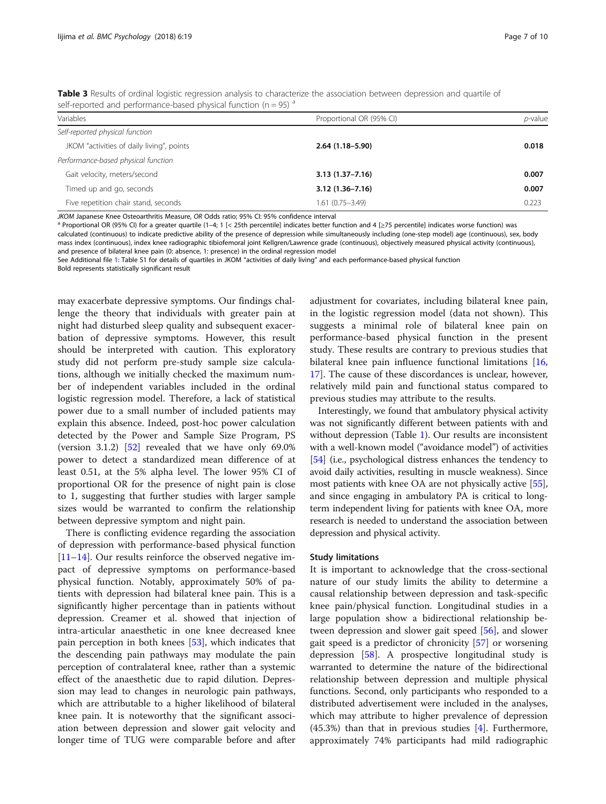<span id="page-6-0"></span>Table 3 Results of ordinal logistic regression analysis to characterize the association between depression and quartile of self-reported and performance-based physical function ( $n = 95$ )  $a$ 

| Variables                                 | Proportional OR (95% CI) | <i>p</i> -value |
|-------------------------------------------|--------------------------|-----------------|
| Self-reported physical function           |                          |                 |
| JKOM "activities of daily living", points | $2.64(1.18-5.90)$        | 0.018           |
| Performance-based physical function       |                          |                 |
| Gait velocity, meters/second              | $3.13(1.37 - 7.16)$      | 0.007           |
| Timed up and go, seconds                  | $3.12(1.36 - 7.16)$      | 0.007           |
| Five repetition chair stand, seconds      | $1.61(0.75 - 3.49)$      | 0.223           |

JKOM Japanese Knee Osteoarthritis Measure, OR Odds ratio; 95% Cl: 95% confidence interval<br><sup>a</sup> Proportional OR (95% CI) for a greater quartile (1–4; 1 [< 25th percentile] indicates better function and 4 [≥75 percentile] in calculated (continuous) to indicate predictive ability of the presence of depression while simultaneously including (one-step model) age (continuous), sex, body mass index (continuous), index knee radiographic tibiofemoral joint Kellgren/Lawrence grade (continuous), objectively measured physical activity (continuous), and presence of bilateral knee pain (0: absence, 1: presence) in the ordinal regression model

See Additional file [1](#page-7-0): Table S1 for details of quartiles in JKOM "activities of daily living" and each performance-based physical function

Bold represents statistically significant result

may exacerbate depressive symptoms. Our findings challenge the theory that individuals with greater pain at night had disturbed sleep quality and subsequent exacerbation of depressive symptoms. However, this result should be interpreted with caution. This exploratory study did not perform pre-study sample size calculations, although we initially checked the maximum number of independent variables included in the ordinal logistic regression model. Therefore, a lack of statistical power due to a small number of included patients may explain this absence. Indeed, post-hoc power calculation detected by the Power and Sample Size Program, PS (version 3.1.2) [\[52](#page-8-0)] revealed that we have only 69.0% power to detect a standardized mean difference of at least 0.51, at the 5% alpha level. The lower 95% CI of proportional OR for the presence of night pain is close to 1, suggesting that further studies with larger sample sizes would be warranted to confirm the relationship between depressive symptom and night pain.

There is conflicting evidence regarding the association of depression with performance-based physical function [[11](#page-8-0)–[14](#page-8-0)]. Our results reinforce the observed negative impact of depressive symptoms on performance-based physical function. Notably, approximately 50% of patients with depression had bilateral knee pain. This is a significantly higher percentage than in patients without depression. Creamer et al. showed that injection of intra-articular anaesthetic in one knee decreased knee pain perception in both knees [\[53](#page-8-0)], which indicates that the descending pain pathways may modulate the pain perception of contralateral knee, rather than a systemic effect of the anaesthetic due to rapid dilution. Depression may lead to changes in neurologic pain pathways, which are attributable to a higher likelihood of bilateral knee pain. It is noteworthy that the significant association between depression and slower gait velocity and longer time of TUG were comparable before and after

adjustment for covariates, including bilateral knee pain, in the logistic regression model (data not shown). This suggests a minimal role of bilateral knee pain on performance-based physical function in the present study. These results are contrary to previous studies that bilateral knee pain influence functional limitations [[16](#page-8-0), [17\]](#page-8-0). The cause of these discordances is unclear, however, relatively mild pain and functional status compared to previous studies may attribute to the results.

Interestingly, we found that ambulatory physical activity was not significantly different between patients with and without depression (Table [1\)](#page-4-0). Our results are inconsistent with a well-known model ("avoidance model") of activities [[54](#page-8-0)] (i.e., psychological distress enhances the tendency to avoid daily activities, resulting in muscle weakness). Since most patients with knee OA are not physically active [[55](#page-8-0)], and since engaging in ambulatory PA is critical to longterm independent living for patients with knee OA, more research is needed to understand the association between depression and physical activity.

# Study limitations

It is important to acknowledge that the cross-sectional nature of our study limits the ability to determine a causal relationship between depression and task-specific knee pain/physical function. Longitudinal studies in a large population show a bidirectional relationship between depression and slower gait speed [\[56](#page-9-0)], and slower gait speed is a predictor of chronicity [[57\]](#page-9-0) or worsening depression  $[58]$  $[58]$ . A prospective longitudinal study is warranted to determine the nature of the bidirectional relationship between depression and multiple physical functions. Second, only participants who responded to a distributed advertisement were included in the analyses, which may attribute to higher prevalence of depression (45.3%) than that in previous studies [[4\]](#page-7-0). Furthermore, approximately 74% participants had mild radiographic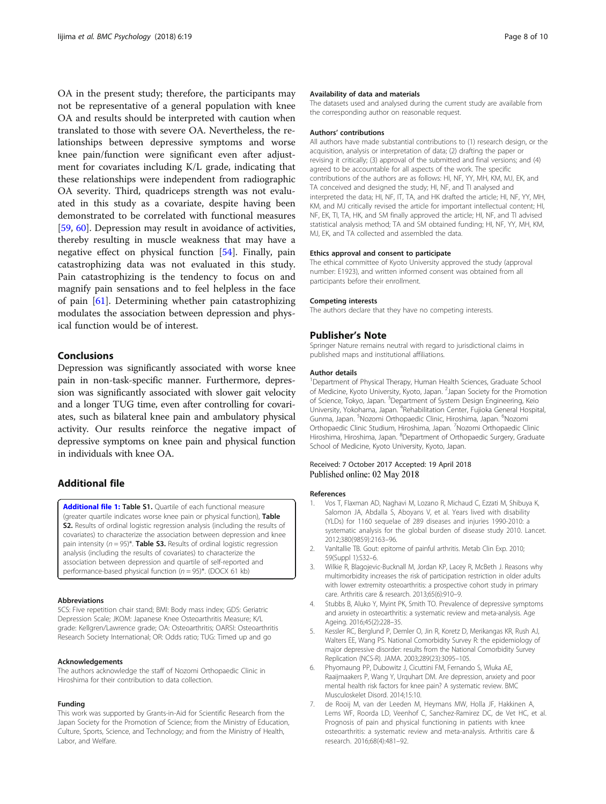<span id="page-7-0"></span>OA in the present study; therefore, the participants may not be representative of a general population with knee OA and results should be interpreted with caution when translated to those with severe OA. Nevertheless, the relationships between depressive symptoms and worse knee pain/function were significant even after adjustment for covariates including K/L grade, indicating that these relationships were independent from radiographic OA severity. Third, quadriceps strength was not evaluated in this study as a covariate, despite having been demonstrated to be correlated with functional measures [[59,](#page-9-0) [60\]](#page-9-0). Depression may result in avoidance of activities, thereby resulting in muscle weakness that may have a negative effect on physical function [\[54](#page-8-0)]. Finally, pain catastrophizing data was not evaluated in this study. Pain catastrophizing is the tendency to focus on and magnify pain sensations and to feel helpless in the face of pain [[61\]](#page-9-0). Determining whether pain catastrophizing modulates the association between depression and physical function would be of interest.

# Conclusions

Depression was significantly associated with worse knee pain in non-task-specific manner. Furthermore, depression was significantly associated with slower gait velocity and a longer TUG time, even after controlling for covariates, such as bilateral knee pain and ambulatory physical activity. Our results reinforce the negative impact of depressive symptoms on knee pain and physical function in individuals with knee OA.

# Additional file

[Additional file 1:](https://doi.org/10.1186/s40359-018-0234-3) Table S1. Quartile of each functional measure (greater quartile indicates worse knee pain or physical function), Table S2. Results of ordinal logistic regression analysis (including the results of covariates) to characterize the association between depression and knee pain intensity ( $n = 95$ )\*. Table S3. Results of ordinal logistic regression analysis (including the results of covariates) to characterize the association between depression and quartile of self-reported and performance-based physical function  $(n = 95)^*$ . (DOCX 61 kb)

#### Abbreviations

5CS: Five repetition chair stand; BMI: Body mass index; GDS: Geriatric Depression Scale; JKOM: Japanese Knee Osteoarthritis Measure; K/L grade: Kellgren/Lawrence grade; OA: Osteoarthritis; OARSI: Osteoarthritis Research Society International; OR: Odds ratio; TUG: Timed up and go

# Acknowledgements

The authors acknowledge the staff of Nozomi Orthopaedic Clinic in Hiroshima for their contribution to data collection.

# Funding

This work was supported by Grants-in-Aid for Scientific Research from the Japan Society for the Promotion of Science; from the Ministry of Education, Culture, Sports, Science, and Technology; and from the Ministry of Health, Labor, and Welfare.

# Availability of data and materials

The datasets used and analysed during the current study are available from the corresponding author on reasonable request.

#### Authors' contributions

All authors have made substantial contributions to (1) research design, or the acquisition, analysis or interpretation of data; (2) drafting the paper or revising it critically; (3) approval of the submitted and final versions; and (4) agreed to be accountable for all aspects of the work. The specific contributions of the authors are as follows: HI, NF, YY, MH, KM, MJ, EK, and TA conceived and designed the study; HI, NF, and TI analysed and interpreted the data; HI, NF, IT, TA, and HK drafted the article; HI, NF, YY, MH, KM, and MJ critically revised the article for important intellectual content; HI, NF, EK, TI, TA, HK, and SM finally approved the article; HI, NF, and TI advised statistical analysis method; TA and SM obtained funding; HI, NF, YY, MH, KM, MJ, EK, and TA collected and assembled the data.

## Ethics approval and consent to participate

The ethical committee of Kyoto University approved the study (approval number: E1923), and written informed consent was obtained from all participants before their enrollment.

#### Competing interests

The authors declare that they have no competing interests.

# Publisher's Note

Springer Nature remains neutral with regard to jurisdictional claims in published maps and institutional affiliations.

# Author details

<sup>1</sup>Department of Physical Therapy, Human Health Sciences, Graduate School of Medicine, Kyoto University, Kyoto, Japan. <sup>2</sup>Japan Society for the Promotion of Science, Tokyo, Japan. <sup>3</sup>Department of System Design Engineering, Keic University, Yokohama, Japan. <sup>4</sup>Rehabilitation Center, Fujioka General Hospital Gunma, Japan. <sup>5</sup>Nozomi Orthopaedic Clinic, Hiroshima, Japan. <sup>6</sup>Nozomi Orthopaedic Clinic Studium, Hiroshima, Japan. <sup>7</sup>Nozomi Orthopaedic Clinic Hiroshima, Hiroshima, Japan. <sup>8</sup>Department of Orthopaedic Surgery, Graduate School of Medicine, Kyoto University, Kyoto, Japan.

# Received: 7 October 2017 Accepted: 19 April 2018 Published online: 02 May 2018

# References

- 1. Vos T, Flaxman AD, Naghavi M, Lozano R, Michaud C, Ezzati M, Shibuya K, Salomon JA, Abdalla S, Aboyans V, et al. Years lived with disability (YLDs) for 1160 sequelae of 289 diseases and injuries 1990-2010: a systematic analysis for the global burden of disease study 2010. Lancet. 2012;380(9859):2163–96.
- 2. VanItallie TB. Gout: epitome of painful arthritis. Metab Clin Exp. 2010; 59(Suppl 1):S32–6.
- 3. Wilkie R, Blagojevic-Bucknall M, Jordan KP, Lacey R, McBeth J. Reasons why multimorbidity increases the risk of participation restriction in older adults with lower extremity osteoarthritis: a prospective cohort study in primary care. Arthritis care & research. 2013;65(6):910–9.
- 4. Stubbs B, Aluko Y, Myint PK, Smith TO. Prevalence of depressive symptoms and anxiety in osteoarthritis: a systematic review and meta-analysis. Age Ageing. 2016;45(2):228–35.
- 5. Kessler RC, Berglund P, Demler O, Jin R, Koretz D, Merikangas KR, Rush AJ, Walters EE, Wang PS. National Comorbidity Survey R: the epidemiology of major depressive disorder: results from the National Comorbidity Survey Replication (NCS-R). JAMA. 2003;289(23):3095–105.
- 6. Phyomaung PP, Dubowitz J, Cicuttini FM, Fernando S, Wluka AE, Raaijmaakers P, Wang Y, Urquhart DM. Are depression, anxiety and poor mental health risk factors for knee pain? A systematic review. BMC Musculoskelet Disord. 2014;15:10.
- 7. de Rooij M, van der Leeden M, Heymans MW, Holla JF, Hakkinen A, Lems WF, Roorda LD, Veenhof C, Sanchez-Ramirez DC, de Vet HC, et al. Prognosis of pain and physical functioning in patients with knee osteoarthritis: a systematic review and meta-analysis. Arthritis care & research. 2016;68(4):481–92.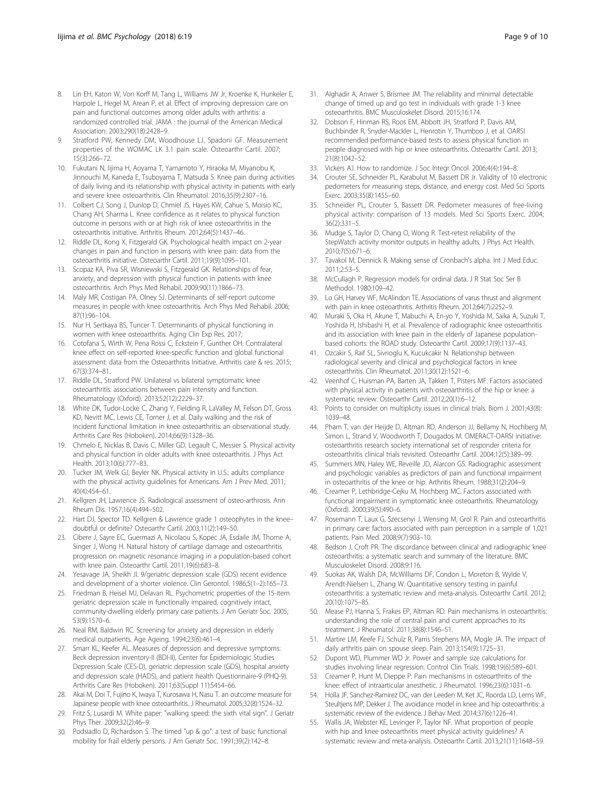- <span id="page-8-0"></span>8. Lin EH, Katon W, Von Korff M, Tang L, Williams JW Jr, Kroenke K, Hunkeler E, Harpole L, Hegel M, Arean P, et al. Effect of improving depression care on pain and functional outcomes among older adults with arthritis: a randomized controlled trial. JAMA : the journal of the American Medical Association. 2003;290(18):2428–9.
- 9. Stratford PW, Kennedy DM, Woodhouse LJ, Spadoni GF. Measurement properties of the WOMAC LK 3.1 pain scale. Osteoarthr Cartil. 2007; 15(3):266–72.
- 10. Fukutani N, Iijima H, Aoyama T, Yamamoto Y, Hiraoka M, Miyanobu K, Jinnouchi M, Kaneda E, Tsuboyama T, Matsuda S. Knee pain during activities of daily living and its relationship with physical activity in patients with early and severe knee osteoarthritis. Clin Rheumatol. 2016;35(9):2307–16.
- 11. Colbert CJ, Song J, Dunlop D, Chmiel JS, Hayes KW, Cahue S, Moisio KC, Chang AH, Sharma L. Knee confidence as it relates to physical function outcome in persons with or at high risk of knee osteoarthritis in the osteoarthritis initiative. Arthritis Rheum. 2012;64(5):1437–46.
- 12. Riddle DL, Kong X, Fitzgerald GK. Psychological health impact on 2-year changes in pain and function in persons with knee pain: data from the osteoarthritis initiative. Osteoarthr Cartil. 2011;19(9):1095–101.
- 13. Scopaz KA, Piva SR, Wisniewski S, Fitzgerald GK. Relationships of fear, anxiety, and depression with physical function in patients with knee osteoarthritis. Arch Phys Med Rehabil. 2009;90(11):1866–73.
- 14. Maly MR, Costigan PA, Olney SJ. Determinants of self-report outcome measures in people with knee osteoarthritis. Arch Phys Med Rehabil. 2006; 87(1):96–104.
- 15. Nur H, Sertkaya BS, Tuncer T. Determinants of physical functioning in women with knee osteoarthritis. Aging Clin Exp Res. 2017;
- 16. Cotofana S, Wirth W, Pena Rossi C, Eckstein F, Gunther OH. Contralateral knee effect on self-reported knee-specific function and global functional assessment: data from the Osteoarthritis Initiative. Arthritis care & res. 2015; 67(3):374–81.
- 17. Riddle DL, Stratford PW. Unilateral vs bilateral symptomatic knee osteoarthritis: associations between pain intensity and function. Rheumatology (Oxford). 2013;52(12):2229–37.
- 18. White DK, Tudor-Locke C, Zhang Y, Fielding R, LaValley M, Felson DT, Gross KD, Nevitt MC, Lewis CE, Torner J, et al. Daily walking and the risk of incident functional limitation in knee osteoarthritis: an observational study. Arthritis Care Res (Hoboken). 2014;66(9):1328–36.
- 19. Chmelo E, Nicklas B, Davis C, Miller GD, Legault C, Messier S. Physical activity and physical function in older adults with knee osteoarthritis. J Phys Act Health. 2013;10(6):777–83.
- 20. Tucker JM, Welk GJ, Beyler NK. Physical activity in U.S.: adults compliance with the physical activity guidelines for Americans. Am J Prev Med. 2011; 40(4):454–61.
- 21. Kellgren JH, Lawrence JS. Radiological assessment of osteo-arthrosis. Ann Rheum Dis. 1957;16(4):494–502.
- Hart DJ, Spector TD. Kellgren & Lawrence grade 1 osteophytes in the kneedoubtful or definite? Osteoarthr Cartil. 2003;11(2):149–50.
- 23. Cibere J, Sayre EC, Guermazi A, Nicolaou S, Kopec JA, Esdaile JM, Thorne A, Singer J, Wong H. Natural history of cartilage damage and osteoarthritis progression on magnetic resonance imaging in a population-based cohort with knee pain. Osteoarthr Cartil. 2011;19(6):683–8.
- 24. Yesavage JA, Sheikh JI. 9/geriatric depression scale (GDS) recent evidence and development of a shorter violence. Clin Gerontol. 1986;5(1–2):165–73.
- 25. Friedman B, Heisel MJ, Delavan RL. Psychometric properties of the 15-item geriatric depression scale in functionally impaired, cognitively intact, community-dwelling elderly primary care patients. J Am Geriatr Soc. 2005; 53(9):1570–6.
- 26. Neal RM, Baldwin RC. Screening for anxiety and depression in elderly medical outpatients. Age Ageing. 1994;23(6):461–4.
- 27. Smarr KL, Keefer AL. Measures of depression and depressive symptoms: Beck depression inventory-II (BDI-II), Center for Epidemiologic Studies Depression Scale (CES-D), geriatric depression scale (GDS), hospital anxiety and depression scale (HADS), and patient health Questionnaire-9 (PHQ-9). Arthritis Care Res (Hoboken). 2011;63(Suppl 11):S454–66.
- 28. Akai M, Doi T, Fujino K, Iwaya T, Kurosawa H, Nasu T. an outcome measure for Japanese people with knee osteoarthritis. J Rheumatol. 2005;32(8):1524–32.
- 29. Fritz S, Lusardi M. White paper: "walking speed: the sixth vital sign". J Geriatr Phys Ther. 2009;32(2):46–9.
- 30. Podsiadlo D, Richardson S. The timed "up & go": a test of basic functional mobility for frail elderly persons. J Am Geriatr Soc. 1991;39(2):142–8.
- 31. Alghadir A, Anwer S, Brismee JM. The reliability and minimal detectable change of timed up and go test in individuals with grade 1-3 knee osteoarthritis. BMC Musculoskelet Disord. 2015;16:174.
- 32. Dobson F, Hinman RS, Roos EM, Abbott JH, Stratford P, Davis AM, Buchbinder R, Snyder-Mackler L, Henrotin Y, Thumboo J, et al. OARSI recommended performance-based tests to assess physical function in people diagnosed with hip or knee osteoarthritis. Osteoarthr Cartil. 2013; 21(8):1042–52.
- 33. Vickers AJ. How to randomize. J Soc Integr Oncol. 2006;4(4):194–8.
- 34. Crouter SE, Schneider PL, Karabulut M, Bassett DR Jr. Validity of 10 electronic pedometers for measuring steps, distance, and energy cost. Med Sci Sports Exerc. 2003;35(8):1455–60.
- 35. Schneider PL, Crouter S, Bassett DR. Pedometer measures of free-living physical activity: comparison of 13 models. Med Sci Sports Exerc. 2004; 36(2):331–5.
- 36. Mudge S, Taylor D, Chang O, Wong R. Test-retest reliability of the StepWatch activity monitor outputs in healthy adults. J Phys Act Health. 2010;7(5):671–6.
- 37. Tavakol M, Dennick R. Making sense of Cronbach's alpha. Int J Med Educ. 2011;2:53–5.
- 38. McCullagh P. Regression models for ordinal data. J R Stat Soc Ser B Methodol. 1980:109–42.
- 39. Lo GH, Harvey WF, McAlindon TE. Associations of varus thrust and alignment with pain in knee osteoarthritis. Arthritis Rheum. 2012;64(7):2252–9.
- 40. Muraki S, Oka H, Akune T, Mabuchi A, En-yo Y, Yoshida M, Saika A, Suzuki T, Yoshida H, Ishibashi H, et al. Prevalence of radiographic knee osteoarthritis and its association with knee pain in the elderly of Japanese populationbased cohorts: the ROAD study. Osteoarthr Cartil. 2009;17(9):1137–43.
- 41. Ozcakir S, Raif SL, Sivrioglu K, Kucukcakir N. Relationship between radiological severity and clinical and psychological factors in knee osteoarthritis. Clin Rheumatol. 2011;30(12):1521–6.
- 42. Veenhof C, Huisman PA, Barten JA, Takken T, Pisters MF. Factors associated with physical activity in patients with osteoarthritis of the hip or knee: a systematic review. Osteoarthr Cartil. 2012;20(1):6–12.
- 43. Points to consider on multiplicity issues in clinical trials. Biom J. 2001;43(8): 1039–48.
- 44. Pham T, van der Heijde D, Altman RD, Anderson JJ, Bellamy N, Hochberg M, Simon L, Strand V, Woodworth T, Dougados M. OMERACT-OARSI initiative: osteoarthritis research society international set of responder criteria for osteoarthritis clinical trials revisited. Osteoarthr Cartil. 2004;12(5):389–99.
- 45. Summers MN, Haley WE, Reveille JD, Alarcon GS. Radiographic assessment and psychologic variables as predictors of pain and functional impairment in osteoarthritis of the knee or hip. Arthritis Rheum. 1988;31(2):204–9.
- 46. Creamer P, Lethbridge-Cejku M, Hochberg MC. Factors associated with functional impairment in symptomatic knee osteoarthritis. Rheumatology (Oxford). 2000;39(5):490–6.
- 47. Rosemann T, Laux G, Szecsenyi J, Wensing M, Grol R. Pain and osteoarthritis in primary care: factors associated with pain perception in a sample of 1,021 patients. Pain Med. 2008;9(7):903–10.
- 48. Bedson J, Croft PR. The discordance between clinical and radiographic knee osteoarthritis: a systematic search and summary of the literature. BMC Musculoskelet Disord. 2008;9:116.
- 49. Suokas AK, Walsh DA, McWilliams DF, Condon L, Moreton B, Wylde V, Arendt-Nielsen L, Zhang W. Quantitative sensory testing in painful osteoarthritis: a systematic review and meta-analysis. Osteoarthr Cartil. 2012; 20(10):1075–85.
- 50. Mease PJ, Hanna S, Frakes EP, Altman RD. Pain mechanisms in osteoarthritis: understanding the role of central pain and current approaches to its treatment. J Rheumatol. 2011;38(8):1546–51.
- 51. Martire LM, Keefe FJ, Schulz R, Parris Stephens MA, Mogle JA. The impact of daily arthritis pain on spouse sleep. Pain. 2013;154(9):1725–31.
- 52. Dupont WD, Plummer WD Jr. Power and sample size calculations for studies involving linear regression. Control Clin Trials. 1998;19(6):589–601.
- 53. Creamer P, Hunt M, Dieppe P. Pain mechanisms in osteoarthritis of the knee: effect of intraarticular anesthetic. J Rheumatol. 1996;23(6):1031–6.
- 54. Holla JF, Sanchez-Ramirez DC, van der Leeden M, Ket JC, Roorda LD, Lems WF, Steultjens MP, Dekker J. The avoidance model in knee and hip osteoarthritis: a systematic review of the evidence. J Behav Med. 2014;37(6):1226–41.
- 55. Wallis JA, Webster KE, Levinger P, Taylor NF. What proportion of people with hip and knee osteoarthritis meet physical activity guidelines? A systematic review and meta-analysis. Osteoarthr Cartil. 2013;21(11):1648–59.